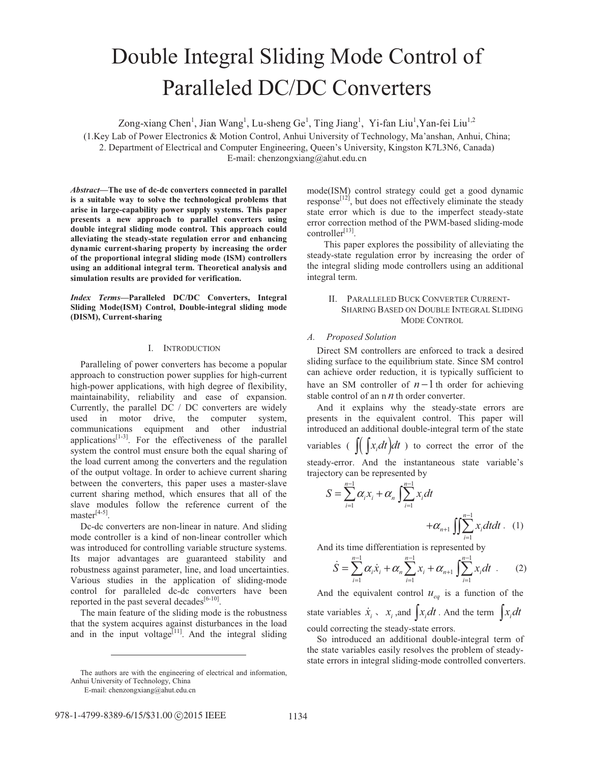# Double Integral Sliding Mode Control of Paralleled DC/DC Converters

Zong-xiang Chen<sup>1</sup>, Jian Wang<sup>1</sup>, Lu-sheng Ge<sup>1</sup>, Ting Jiang<sup>1</sup>, Yi-fan Liu<sup>1</sup>, Yan-fei Liu<sup>1,2</sup>

(1.Key Lab of Power Electronics & Motion Control, Anhui University of Technology, Ma'anshan, Anhui, China; 2. Department of Electrical and Computer Engineering, Queen's University, Kingston K7L3N6, Canada) E-mail: chenzongxiang@ahut.edu.cn

*Abstract***—The use of dc-dc converters connected in parallel is a suitable way to solve the technological problems that arise in large-capability power supply systems. This paper presents a new approach to parallel converters using double integral sliding mode control. This approach could alleviating the steady-state regulation error and enhancing dynamic current-sharing property by increasing the order of the proportional integral sliding mode (ISM) controllers using an additional integral term. Theoretical analysis and simulation results are provided for verification.** 

*Index Terms***—Paralleled DC/DC Converters, Integral Sliding Mode(ISM) Control, Double-integral sliding mode (DISM), Current-sharing** 

## I. INTRODUCTION

Paralleling of power converters has become a popular approach to construction power supplies for high-current high-power applications, with high degree of flexibility, maintainability, reliability and ease of expansion. Currently, the parallel DC / DC converters are widely used in motor drive, the computer system, communications equipment and other industrial applications $[1-3]$ . For the effectiveness of the parallel system the control must ensure both the equal sharing of the load current among the converters and the regulation of the output voltage. In order to achieve current sharing between the converters, this paper uses a master-slave current sharing method, which ensures that all of the slave modules follow the reference current of the  $master<sup>[4-5]</sup>$ 

Dc-dc converters are non-linear in nature. And sliding mode controller is a kind of non-linear controller which was introduced for controlling variable structure systems. Its major advantages are guaranteed stability and robustness against parameter, line, and load uncertainties. Various studies in the application of sliding-mode control for paralleled dc-dc converters have been reported in the past several decades<sup>[6-10]</sup>.

The main feature of the sliding mode is the robustness that the system acquires against disturbances in the load and in the input voltage<sup>[11]</sup>. And the integral sliding

 $\overline{a}$ 

mode(ISM) control strategy could get a good dynamic  $responsible^{[12]}$ , but does not effectively eliminate the steady state error which is due to the imperfect steady-state error correction method of the PWM-based sliding-mode controller<sup>[13]</sup>.

 This paper explores the possibility of alleviating the steady-state regulation error by increasing the order of the integral sliding mode controllers using an additional integral term.

## II. PARALLELED BUCK CONVERTER CURRENT-SHARING BASED ON DOUBLE INTEGRAL SLIDING MODE CONTROL

## *A. Proposed Solution*

Direct SM controllers are enforced to track a desired sliding surface to the equilibrium state. Since SM control can achieve order reduction, it is typically sufficient to have an SM controller of  $n-1$  th order for achieving stable control of an n *n* th order converter.

And it explains why the steady-state errors are presents in the equivalent control. This paper will introduced an additional double-integral term of the state variables ( $\iint [x_i dt] dt$ ) to correct the error of the steady-error. And the instantaneous state variable's trajectory can be represented by

$$
S = \sum_{i=1}^{n-1} \alpha_i x_i + \alpha_n \int_{i=1}^{n-1} x_i dt + \alpha_{n+1} \int_{i=1}^{n-1} x_i dt dt
$$
 (1)

And its time differentiation is represented by

$$
\dot{S} = \sum_{i=1}^{n-1} \alpha_i \dot{x}_i + \alpha_n \sum_{i=1}^{n-1} x_i + \alpha_{n+1} \int_{i=1}^{n-1} x_i dt
$$
 (2)

And the equivalent control  $u_{eq}$  is a function of the state variables  $\dot{x}_i$ ,  $x_i$ , and  $\int x_i dt$ . And the term  $\int x_i dt$ could correcting the steady-state errors.

So introduced an additional double-integral term of the state variables easily resolves the problem of steadystate errors in integral sliding-mode controlled converters.

The authors are with the engineering of electrical and information, Anhui University of Technology, China

E-mail: chenzongxiang@ahut.edu.cn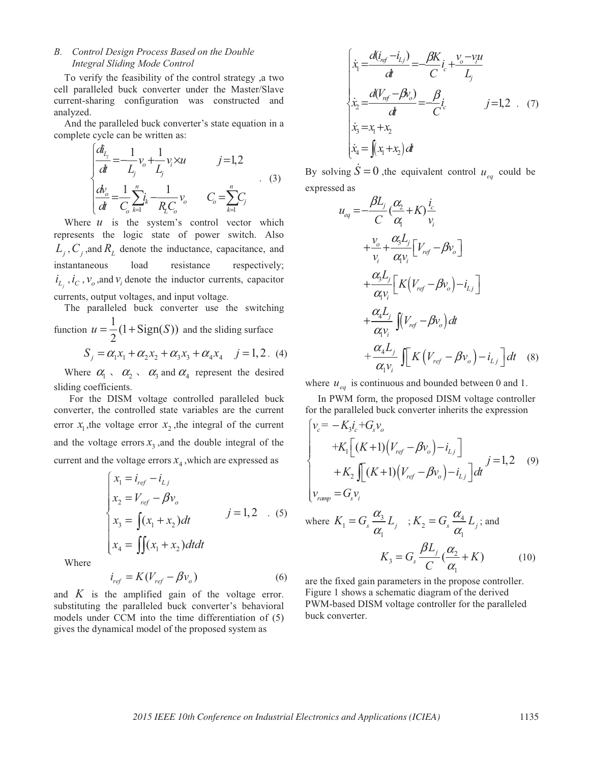# *B. Control Design Process Based on the Double Integral Sliding Mode Control*

To verify the feasibility of the control strategy ,a two cell paralleled buck converter under the Master/Slave current-sharing configuration was constructed and analyzed.

And the paralleled buck converter's state equation in a complete cycle can be written as:

$$
\begin{cases}\n\frac{d_{L_j}}{dt} = -\frac{1}{L_j} v_o + \frac{1}{L_j} v_i \times u & j = 1, 2 \\
\frac{dv_o}{dt} = \frac{1}{C_o} \sum_{k=1}^n i_k - \frac{1}{R_L C_o} v_o & C_o = \sum_{k=1}^n C_j\n\end{cases}
$$
\n(3)

Where  $u$  is the system's control vector which represents the logic state of power switch. Also  $L_i$ ,  $C_i$ , and  $R_l$  denote the inductance, capacitance, and instantaneous load resistance respectively;  $i_{L_i}$ ,  $i_c$ ,  $v_o$ , and  $v_i$  denote the inductor currents, capacitor currents, output voltages, and input voltage.

The paralleled buck converter use the switching function  $u = \frac{1}{2}(1 + \text{Sign}(S))$ 2  $u = \frac{1}{2}(1 + \text{Sign}(S))$  and the sliding surface

$$
S_j = \alpha_1 x_1 + \alpha_2 x_2 + \alpha_3 x_3 + \alpha_4 x_4 \quad j = 1, 2. (4)
$$

Where  $\alpha_1 \cdot \alpha_2 \cdot \alpha_3$  and  $\alpha_4$  represent the desired sliding coefficients.

 For the DISM voltage controlled paralleled buck converter, the controlled state variables are the current error  $x_1$ , the voltage error  $x_2$ , the integral of the current and the voltage errors  $x<sub>3</sub>$ , and the double integral of the current and the voltage errors  $x_4$ , which are expressed as

$$
\begin{cases}\n x_1 = i_{ref} - i_{Lj} \\
 x_2 = V_{ref} - \beta v_o \\
 x_3 = \int (x_1 + x_2) dt \\
 x_4 = \int \int (x_1 + x_2) dt dt\n\end{cases}
$$
\n $j = 1, 2$  (5)

Where

$$
i_{ref} = K(V_{ref} - \beta v_o)
$$
 (6)

and  $K$  is the amplified gain of the voltage error. substituting the paralleled buck converter's behavioral models under CCM into the time differentiation of (5) gives the dynamical model of the proposed system as

$$
\begin{cases}\n\dot{x}_1 = \frac{d(i_{ref} - i_{Lj})}{dt} = \frac{\beta K}{C} i_c + \frac{v_o - v_i u}{L_j} \\
\dot{x}_2 = \frac{d(V_{ref} - \beta v_o)}{dt} = \frac{\beta}{C} i_c & j = 1, 2 \dots (7) \\
\dot{x}_3 = x_1 + x_2 & \\
\dot{x}_4 = \int (x_1 + x_2) dt\n\end{cases}
$$

By solving  $\dot{S} = 0$ , the equivalent control  $u_{eq}$  could be expressed as

$$
u_{eq} = -\frac{\beta L_j}{C} \left(\frac{\alpha_2}{\alpha_1} + K\right) \frac{i_c}{v_i}
$$
  
+ 
$$
\frac{v_o}{v_i} + \frac{\alpha_3 L_j}{\alpha_1 v_i} \left[V_{ref} - \beta v_o\right]
$$
  
+ 
$$
\frac{\alpha_3 L_j}{\alpha_1 v_i} \left[K\left(V_{ref} - \beta v_o\right) - i_{Lj}\right]
$$
  
+ 
$$
\frac{\alpha_4 L_j}{\alpha_1 v_i} \int (V_{ref} - \beta v_o) dt
$$
  
+ 
$$
\frac{\alpha_4 L_j}{\alpha_1 v_i} \int [K\left(V_{ref} - \beta v_o\right) - i_{Lj}] dt \quad (8)
$$

where  $u_{eq}$  is continuous and bounded between 0 and 1.

 In PWM form, the proposed DISM voltage controller for the paralleled buck converter inherits the expression

$$
\begin{cases}\nv_c = -K_3 i_c + G_s v_o \\
+ K_1 \left[ (K+1) (V_{ref} - \beta v_o) - i_{L_j} \right] \\
+ K_2 \int \left[ (K+1) (V_{ref} - \beta v_o) - i_{L_j} \right] dt\n\end{cases}
$$
\n
$$
v_{ramp} = G_s v_i
$$
\n(9)

where 
$$
K_1 = G_s \frac{\alpha_3}{\alpha_1} L_j
$$
;  $K_2 = G_s \frac{\alpha_4}{\alpha_1} L_j$ ; and  

$$
K_3 = G_s \frac{\beta L_j}{C} (\frac{\alpha_2}{\alpha_1} + K)
$$
(10)

are the fixed gain parameters in the propose controller. Figure 1 shows a schematic diagram of the derived PWM-based DISM voltage controller for the paralleled buck converter.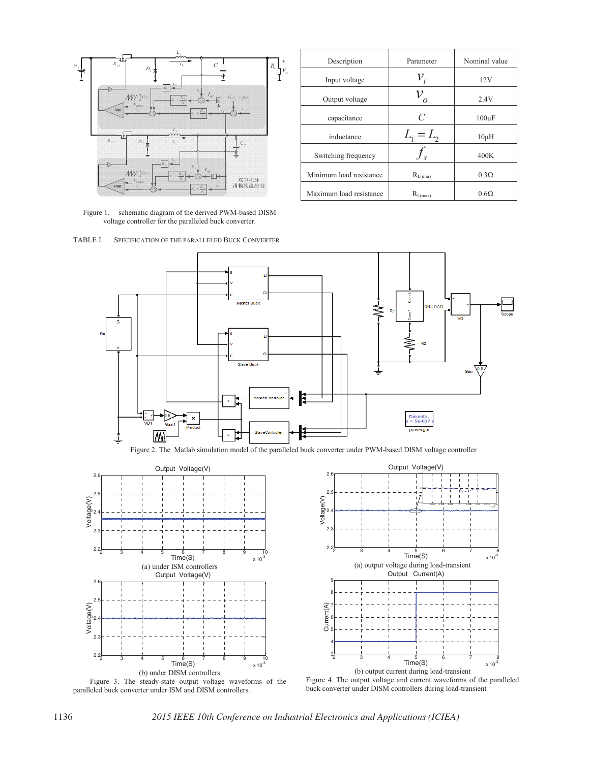

Figure 1. schematic diagram of the derived PWM-based DISM voltage controller for the paralleled buck converter.



| Description             | Parameter         | Nominal value |
|-------------------------|-------------------|---------------|
| Input voltage           |                   | 12V           |
| Output voltage          |                   | 2.4V          |
| capacitance             | $\mathcal{C}_{0}$ | $100 \mu F$   |
| inductance              | $L_1 = L_2$       | $10\mu H$     |
| Switching frequency     |                   | 400K          |
| Minimum load resistance | $R_{L(min)}$      | $0.3\Omega$   |
| Maximum load resistance | $R_{L(max)}$      | $0.6\Omega$   |



Figure 2. The Matlab simulation model of the paralleled buck converter under PWM-based DISM voltage controller



 Figure 3. The steady-state output voltage waveforms of the paralleled buck converter under ISM and DISM controllers.



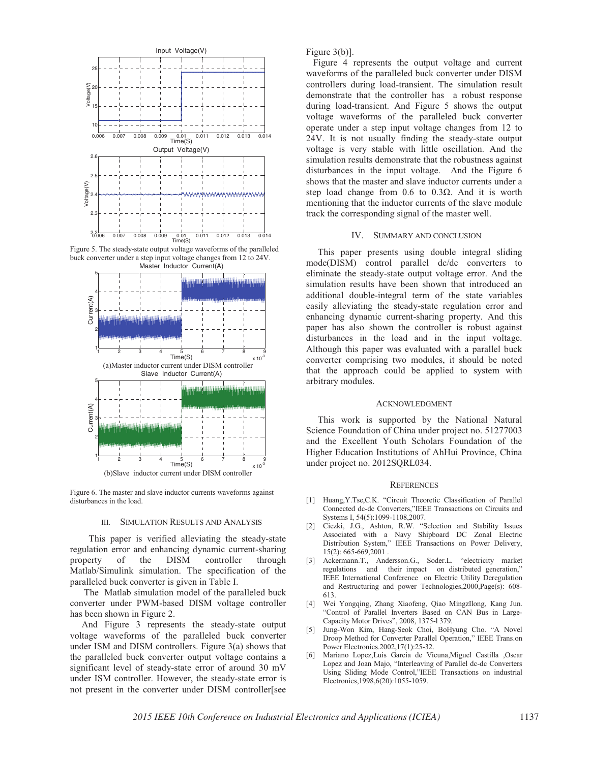

Figure 5. The steady-state output voltage waveforms of the paralleled buck converter under a step input voltage changes from 12 to 24V. Master Inductor Current(A)



Figure 6. The master and slave inductor currents waveforms against disturbances in the load.

### III. SIMULATION RESULTS AND ANALYSIS

This paper is verified alleviating the steady-state regulation error and enhancing dynamic current-sharing property of the DISM controller through Matlab/Simulink simulation. The specification of the paralleled buck converter is given in Table I.

 The Matlab simulation model of the paralleled buck converter under PWM-based DISM voltage controller has been shown in Figure 2.

 And Figure 3 represents the steady-state output voltage waveforms of the paralleled buck converter under ISM and DISM controllers. Figure 3(a) shows that the paralleled buck converter output voltage contains a significant level of steady-state error of around 30 mV under ISM controller. However, the steady-state error is not present in the converter under DISM controller[see Figure 3(b)].

 Figure 4 represents the output voltage and current waveforms of the paralleled buck converter under DISM controllers during load-transient. The simulation result demonstrate that the controller has a robust response during load-transient. And Figure 5 shows the output voltage waveforms of the paralleled buck converter operate under a step input voltage changes from 12 to 24V. It is not usually finding the steady-state output voltage is very stable with little oscillation. And the simulation results demonstrate that the robustness against disturbances in the input voltage. And the Figure 6 shows that the master and slave inductor currents under a step load change from  $0.6$  to  $0.3\Omega$ . And it is worth mentioning that the inductor currents of the slave module track the corresponding signal of the master well.

#### IV. SUMMARY AND CONCLUSION

 This paper presents using double integral sliding mode(DISM) control parallel dc/dc converters to eliminate the steady-state output voltage error. And the simulation results have been shown that introduced an additional double-integral term of the state variables easily alleviating the steady-state regulation error and enhancing dynamic current-sharing property. And this paper has also shown the controller is robust against disturbances in the load and in the input voltage. Although this paper was evaluated with a parallel buck converter comprising two modules, it should be noted that the approach could be applied to system with arbitrary modules.

#### ACKNOWLEDGMENT

 This work is supported by the National Natural Science Foundation of China under project no. 51277003 and the Excellent Youth Scholars Foundation of the Higher Education Institutions of AhHui Province, China under project no. 2012SQRL034.

#### **REFERENCES**

- [1] Huang,Y.Tse,C.K. "Circuit Theoretic Classification of Parallel Connected dc-dc Converters,"IEEE Transactions on Circuits and Systems I, 54(5):1099-1108,2007.
- [2] Ciezki, J.G., Ashton, R.W. "Selection and Stability Issues Associated with a Navy Shipboard DC Zonal Electric Distribution System," IEEE Transactions on Power Delivery, 15(2): 665-669,2001 .
- [3] Ackermann.T., Andersson.G., Soder.L. "electricity market regulations and their impact on distributed generation," IEEE International Conference on Electric Utility Deregulation and Restructuring and power Technologies,2000,Page(s): 608- 613.
- [4] Wei Yongqing, Zhang Xiaofeng, Qiao MingzIlong, Kang Jun. "Control of Parallel Inverters Based on CAN Bus in Large-Capacity Motor Drives", 2008, 1375-l 379.
- [5] Jung-Won Kim, Hang-Seok Choi, BoHyung Cho. "A Novel Droop Method for Converter Parallel Operation," IEEE Trans.on Power Electronics.2002,17(1):25-32.
- [6] Mariano Lopez,Luis Garcia de Vicuna,Miguel Castilla ,Oscar Lopez and Joan Majo, "Interleaving of Parallel dc-dc Converters Using Sliding Mode Control,"IEEE Transactions on industrial Electronics,1998,6(20):1055-1059.